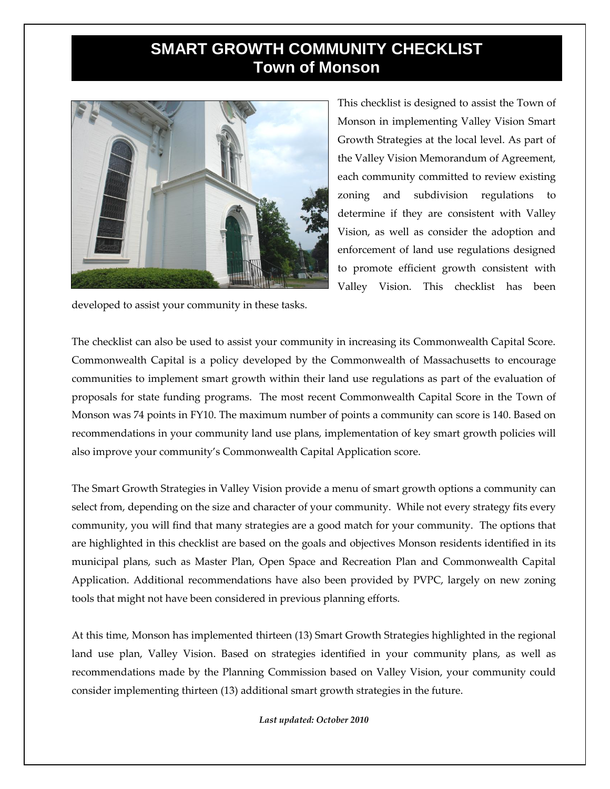## **SMART GROWTH COMMUNITY CHECKLIST Town of Monson**



This checklist is designed to assist the Town of Monson in implementing Valley Vision Smart Growth Strategies at the local level. As part of the Valley Vision Memorandum of Agreement, each community committed to review existing zoning and subdivision regulations to determine if they are consistent with Valley Vision, as well as consider the adoption and enforcement of land use regulations designed to promote efficient growth consistent with Valley Vision. This checklist has been

developed to assist your community in these tasks.

The checklist can also be used to assist your community in increasing its Commonwealth Capital Score. Commonwealth Capital is a policy developed by the Commonwealth of Massachusetts to encourage communities to implement smart growth within their land use regulations as part of the evaluation of proposals for state funding programs. The most recent Commonwealth Capital Score in the Town of Monson was 74 points in FY10. The maximum number of points a community can score is 140. Based on recommendations in your community land use plans, implementation of key smart growth policies will also improve your community's Commonwealth Capital Application score.

The Smart Growth Strategies in Valley Vision provide a menu of smart growth options a community can select from, depending on the size and character of your community. While not every strategy fits every community, you will find that many strategies are a good match for your community. The options that are highlighted in this checklist are based on the goals and objectives Monson residents identified in its municipal plans, such as Master Plan, Open Space and Recreation Plan and Commonwealth Capital Application. Additional recommendations have also been provided by PVPC, largely on new zoning tools that might not have been considered in previous planning efforts.

At this time, Monson has implemented thirteen (13) Smart Growth Strategies highlighted in the regional land use plan, Valley Vision. Based on strategies identified in your community plans, as well as recommendations made by the Planning Commission based on Valley Vision, your community could consider implementing thirteen (13) additional smart growth strategies in the future.

*Last updated: October 2010*